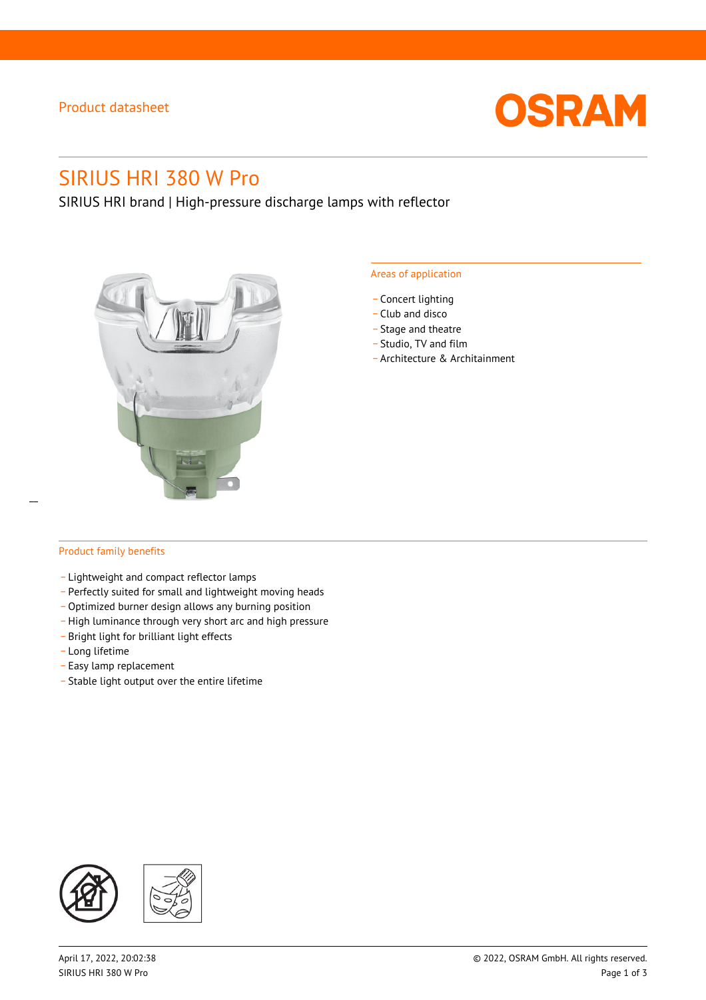### Product datasheet



# SIRIUS HRI 380 W Pro

SIRIUS HRI brand | High-pressure discharge lamps with reflector



#### Areas of application

- Concert lighting
- \_ Club and disco
- Stage and theatre
- \_ Studio, TV and film
- \_ Architecture & Architainment

### Product family benefits

 $\overline{a}$ 

- \_ Lightweight and compact reflector lamps
- \_ Perfectly suited for small and lightweight moving heads
- Optimized burner design allows any burning position
- High luminance through very short arc and high pressure
- \_ Bright light for brilliant light effects
- \_ Long lifetime
- \_ Easy lamp replacement
- \_ Stable light output over the entire lifetime

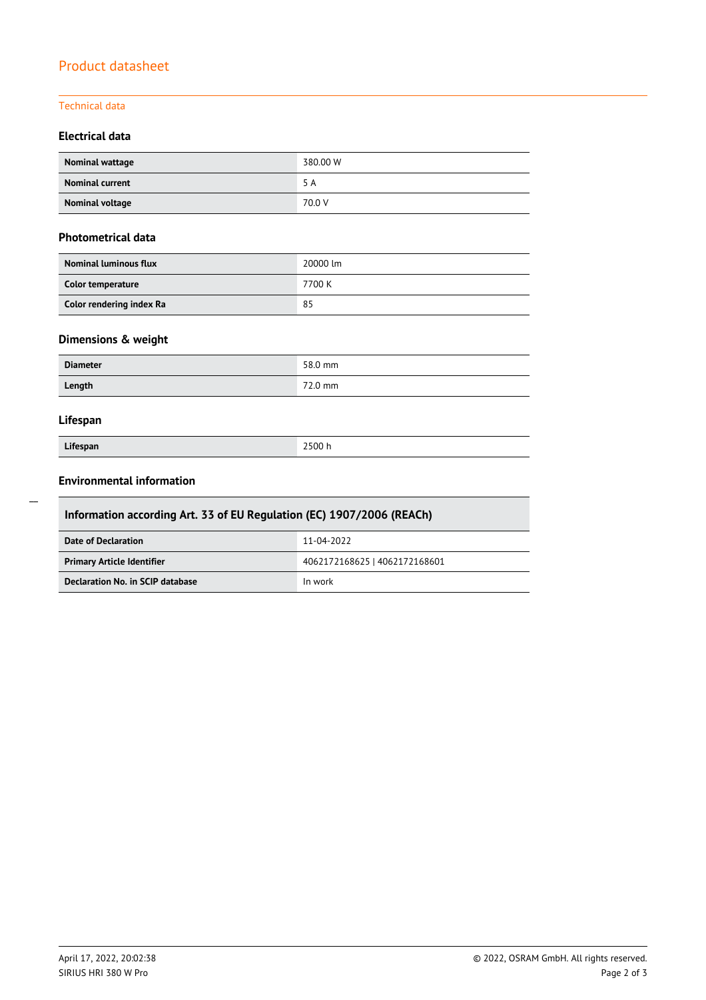## Product datasheet

### Technical data

### **Electrical data**

| Nominal wattage        | 380.00 W |
|------------------------|----------|
| <b>Nominal current</b> | 5 A      |
| Nominal voltage        | 70.0 V   |

### **Photometrical data**

| <b>Nominal luminous flux</b> | 20000 lm |
|------------------------------|----------|
| Color temperature            | 7700 K   |
| Color rendering index Ra     | 85       |

### **Dimensions & weight**

| <b>Diameter</b> | 58.0 mm |
|-----------------|---------|
| Length          | 72.0 mm |

### **Lifespan**

| Lifespan |  |
|----------|--|

**Lifespan** 2500 h

### **Environmental information**

| Information according Art. 33 of EU Regulation (EC) 1907/2006 (REACh) |                               |  |  |
|-----------------------------------------------------------------------|-------------------------------|--|--|
| Date of Declaration                                                   | 11-04-2022                    |  |  |
| <b>Primary Article Identifier</b>                                     | 4062172168625   4062172168601 |  |  |
| Declaration No. in SCIP database                                      | In work                       |  |  |